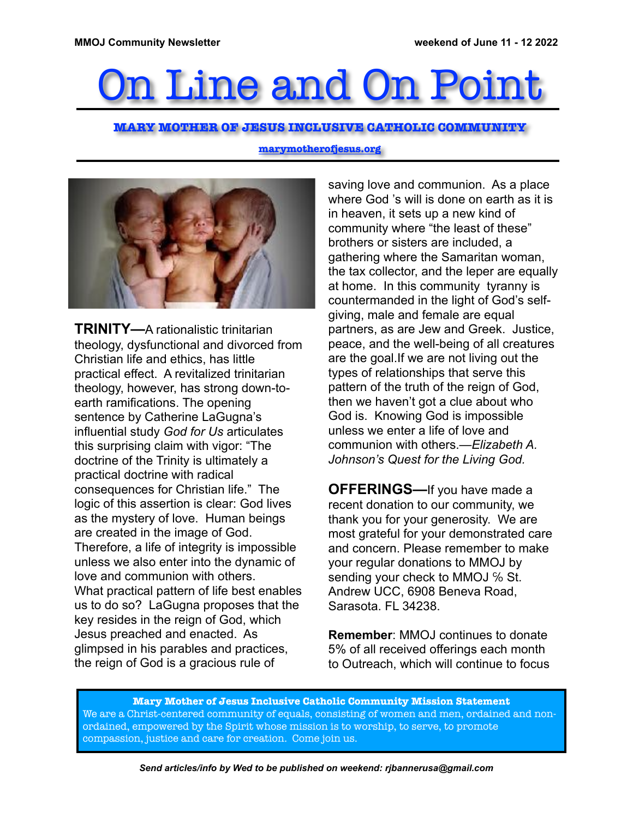# n Line and On Poi

### **MARY MOTHER OF JESUS INCLUSIVE CATHOLIC COMMUNITY**

#### **marymotherofjesus.org**



**TRINITY—**A rationalistic trinitarian theology, dysfunctional and divorced from Christian life and ethics, has little practical effect. A revitalized trinitarian theology, however, has strong down-toearth ramifications. The opening sentence by Catherine LaGugna's influential study *God for Us* articulates this surprising claim with vigor: "The doctrine of the Trinity is ultimately a practical doctrine with radical consequences for Christian life." The logic of this assertion is clear: God lives as the mystery of love. Human beings are created in the image of God. Therefore, a life of integrity is impossible unless we also enter into the dynamic of love and communion with others. What practical pattern of life best enables us to do so? LaGugna proposes that the key resides in the reign of God, which Jesus preached and enacted. As glimpsed in his parables and practices, the reign of God is a gracious rule of

saving love and communion. As a place where God 's will is done on earth as it is in heaven, it sets up a new kind of community where "the least of these" brothers or sisters are included, a gathering where the Samaritan woman, the tax collector, and the leper are equally at home. In this community tyranny is countermanded in the light of God's selfgiving, male and female are equal partners, as are Jew and Greek. Justice, peace, and the well-being of all creatures are the goal.If we are not living out the types of relationships that serve this pattern of the truth of the reign of God, then we haven't got a clue about who God is. Knowing God is impossible unless we enter a life of love and communion with others.—*Elizabeth A. Johnson's Quest for the Living God.*

**OFFERINGS—**If you have made a recent donation to our community, we thank you for your generosity. We are most grateful for your demonstrated care and concern. Please remember to make your regular donations to MMOJ by sending your check to MMOJ % St. Andrew UCC, 6908 Beneva Road, Sarasota. FL 34238.

**Remember**: MMOJ continues to donate 5% of all received offerings each month to Outreach, which will continue to focus

**Mary Mother of Jesus Inclusive Catholic Community Mission Statement** We are a Christ-centered community of equals, consisting of women and men, ordained and nonordained, empowered by the Spirit whose mission is to worship, to serve, to promote compassion, justice and care for creation. Come join us.